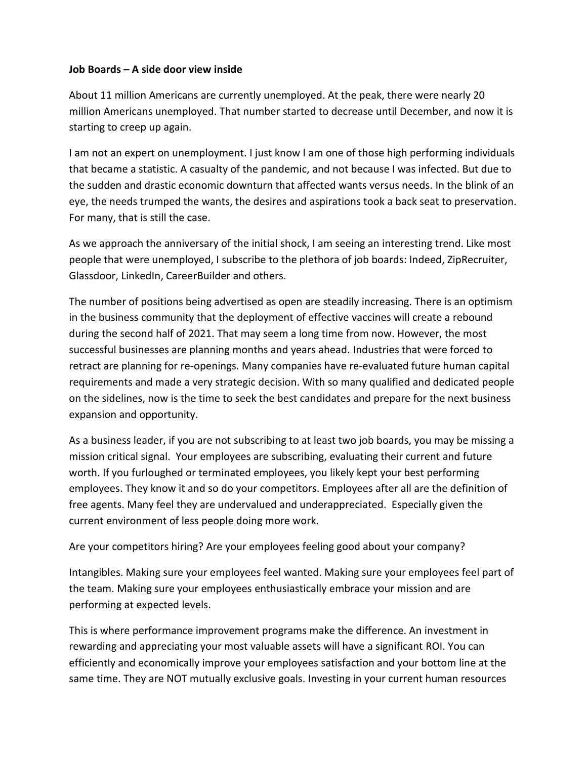## **Job Boards – A side door view inside**

About 11 million Americans are currently unemployed. At the peak, there were nearly 20 million Americans unemployed. That number started to decrease until December, and now it is starting to creep up again.

I am not an expert on unemployment. I just know I am one of those high performing individuals that became a statistic. A casualty of the pandemic, and not because I was infected. But due to the sudden and drastic economic downturn that affected wants versus needs. In the blink of an eye, the needs trumped the wants, the desires and aspirations took a back seat to preservation. For many, that is still the case.

As we approach the anniversary of the initial shock, I am seeing an interesting trend. Like most people that were unemployed, I subscribe to the plethora of job boards: Indeed, ZipRecruiter, Glassdoor, LinkedIn, CareerBuilder and others.

The number of positions being advertised as open are steadily increasing. There is an optimism in the business community that the deployment of effective vaccines will create a rebound during the second half of 2021. That may seem a long time from now. However, the most successful businesses are planning months and years ahead. Industries that were forced to retract are planning for re-openings. Many companies have re-evaluated future human capital requirements and made a very strategic decision. With so many qualified and dedicated people on the sidelines, now is the time to seek the best candidates and prepare for the next business expansion and opportunity.

As a business leader, if you are not subscribing to at least two job boards, you may be missing a mission critical signal. Your employees are subscribing, evaluating their current and future worth. If you furloughed or terminated employees, you likely kept your best performing employees. They know it and so do your competitors. Employees after all are the definition of free agents. Many feel they are undervalued and underappreciated. Especially given the current environment of less people doing more work.

Are your competitors hiring? Are your employees feeling good about your company?

Intangibles. Making sure your employees feel wanted. Making sure your employees feel part of the team. Making sure your employees enthusiastically embrace your mission and are performing at expected levels.

This is where performance improvement programs make the difference. An investment in rewarding and appreciating your most valuable assets will have a significant ROI. You can efficiently and economically improve your employees satisfaction and your bottom line at the same time. They are NOT mutually exclusive goals. Investing in your current human resources